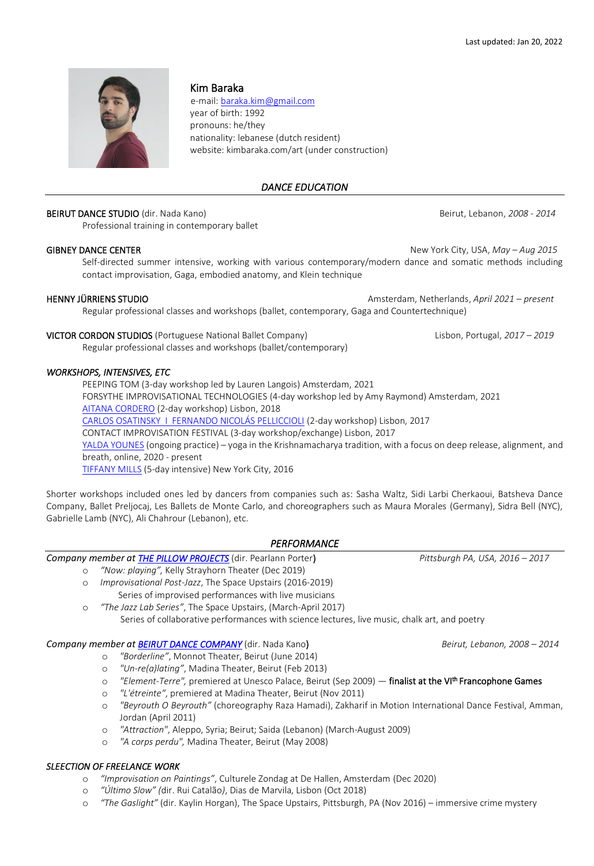

## Kim Baraka

 e-mail: [baraka.kim@gmail.com](mailto:baraka.kim@gmail.com) year of birth: 1992 pronouns: he/they nationality: lebanese (dutch resident)

website: kimbaraka.com/art (under construction)

## *DANCE EDUCATION*

## BEIRUT DANCE STUDIO (dir. Nada Kano) Beirut, Lebanon, *2008 - 2014*

Professional training in contemporary ballet

GIBNEY DANCE CENTER **New York City, USA,** *May – Aug 2015* Self-directed summer intensive, working with various contemporary/modern dance and somatic methods including contact improvisation, Gaga, embodied anatomy, and Klein technique

HENNY JÜRRIENS STUDIO Amsterdam, Netherlands, *April 2021 – present*

Regular professional classes and workshops (ballet, contemporary, Gaga and Countertechnique)

# VICTOR CORDON STUDIOS (Portuguese National Ballet Company) Lisbon, Portugal, *2017 – 2019*

Regular professional classes and workshops (ballet/contemporary)

#### *WORKSHOPS, INTENSIVES, ETC*

PEEPING TOM (3-day workshop led by Lauren Langois) Amsterdam, 2021 FORSYTHE IMPROVISATIONAL TECHNOLOGIES (4-day workshop led by Amy Raymond) Amsterdam, 2021 [AITANA CORDERO](https://www.aitanacordero.com/) (2-day workshop) Lisbon, 2018 [CARLOS OSATINSKY I FERNANDO NICOLÁS PELLICCIOLI](https://ferychar.wixsite.com/site) (2-day workshop) Lisbon, 2017 CONTACT IMPROVISATION FESTIVAL (3-day workshop/exchange) Lisbon, 2017 [YALDA YOUNES](https://yaldayounes.com/groupyoga) (ongoing practice) – yoga in the Krishnamacharya tradition, with a focus on deep release, alignment, and breath, online, 2020 - present [TIFFANY MILLS](https://tiffanymillscompany.org/) (5-day intensive) New York City, 2016

Shorter workshops included ones led by dancers from companies such as: Sasha Waltz, Sidi Larbi Cherkaoui, Batsheva Dance Company, Ballet Preljocaj, Les Ballets de Monte Carlo, and choreographers such as Maura Morales (Germany), Sidra Bell (NYC), Gabrielle Lamb (NYC), Ali Chahrour (Lebanon), etc.

## *PERFORMANCE*

## *Company member at [THE](https://www.pillowproject.org/) PILLOW PROJECTS* (dir. Pearlann Porter) *Pittsburgh PA, USA, 2016 – 2017*

- o *"Now: playing",* Kelly Strayhorn Theater (Dec 2019)
- o *Improvisational Post-Jazz*, The Space Upstairs (2016-2019) Series of improvised performances with live musicians
- o *"The Jazz Lab Series"*, The Space Upstairs, (March-April 2017)

Series of collaborative performances with science lectures, live music, chalk art, and poetry

## *Company member at [BEIRUT D](https://www.facebook.com/beirutdancecompany/)ANCE COMPANY* (dir. Nada Kano) *Beirut, Lebanon, 2008 – 2014*

- o *"Borderline"*, Monnot Theater, Beirut (June 2014)
- o *"Un-re(a)lating"*, Madina Theater, Beirut (Feb 2013)
- o *"Element-Terre",* premiered at Unesco Palace, Beirut (Sep 2009) finalist at the VIth Francophone Games
- o *"L'étreinte"*, premiered at Madina Theater, Beirut (Nov 2011)
- o *"Beyrouth O Beyrouth"* (choreography Raza Hamadi), Zakharif in Motion International Dance Festival, Amman, Jordan (April 2011)
- o *"Attraction"*, Aleppo, Syria; Beirut; Saida (Lebanon) (March-August 2009)
- o *"A corps perdu",* Madina Theater, Beirut (May 2008)

## *SLEECTION OF FREELANCE WORK*

- o *"Improvisation on Paintings"*, Culturele Zondag at De Hallen, Amsterdam (Dec 2020)
- o *"Último Slow" (*dir. Rui Catalão*)*, Dias de Marvila, Lisbon (Oct 2018)
- o *"The Gaslight"* (dir. Kaylin Horgan), The Space Upstairs, Pittsburgh, PA (Nov 2016) immersive crime mystery